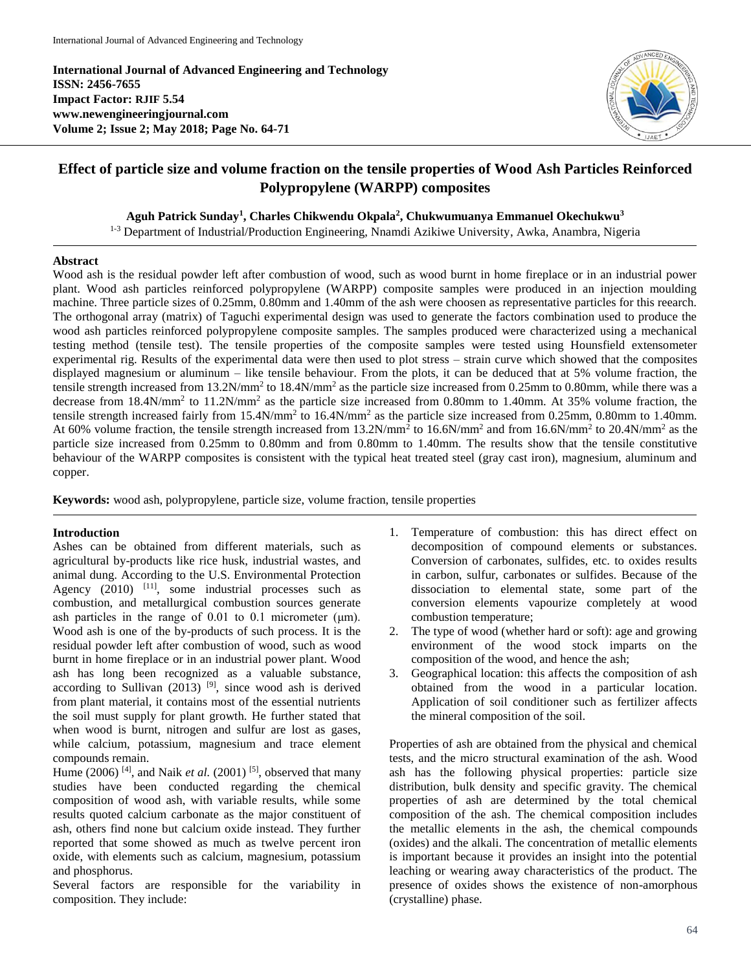**International Journal of Advanced Engineering and Technology ISSN: 2456-7655 Impact Factor: RJIF 5.54 www.newengineeringjournal.com Volume 2; Issue 2; May 2018; Page No. 64-71**



# **Effect of particle size and volume fraction on the tensile properties of Wood Ash Particles Reinforced Polypropylene (WARPP) composites**

**Aguh Patrick Sunday<sup>1</sup> , Charles Chikwendu Okpala<sup>2</sup> , Chukwumuanya Emmanuel Okechukwu<sup>3</sup>**

<sup>1-3</sup> Department of Industrial/Production Engineering, Nnamdi Azikiwe University, Awka, Anambra, Nigeria

### **Abstract**

Wood ash is the residual powder left after combustion of wood, such as wood burnt in home fireplace or in an industrial power plant. Wood ash particles reinforced polypropylene (WARPP) composite samples were produced in an injection moulding machine. Three particle sizes of 0.25mm, 0.80mm and 1.40mm of the ash were choosen as representative particles for this reearch. The orthogonal array (matrix) of Taguchi experimental design was used to generate the factors combination used to produce the wood ash particles reinforced polypropylene composite samples. The samples produced were characterized using a mechanical testing method (tensile test). The tensile properties of the composite samples were tested using Hounsfield extensometer experimental rig. Results of the experimental data were then used to plot stress – strain curve which showed that the composites displayed magnesium or aluminum – like tensile behaviour. From the plots, it can be deduced that at 5% volume fraction, the tensile strength increased from 13.2N/mm<sup>2</sup> to 18.4N/mm<sup>2</sup> as the particle size increased from 0.25mm to 0.80mm, while there was a decrease from 18.4N/mm<sup>2</sup> to 11.2N/mm<sup>2</sup> as the particle size increased from 0.80mm to 1.40mm. At 35% volume fraction, the tensile strength increased fairly from 15.4N/mm<sup>2</sup> to 16.4N/mm<sup>2</sup> as the particle size increased from 0.25mm, 0.80mm to 1.40mm. At 60% volume fraction, the tensile strength increased from 13.2N/mm<sup>2</sup> to 16.6N/mm<sup>2</sup> and from 16.6N/mm<sup>2</sup> to 20.4N/mm<sup>2</sup> as the particle size increased from 0.25mm to 0.80mm and from 0.80mm to 1.40mm. The results show that the tensile constitutive behaviour of the WARPP composites is consistent with the typical heat treated steel (gray cast iron), magnesium, aluminum and copper.

**Keywords:** wood ash, polypropylene, particle size, volume fraction, tensile properties

### **Introduction**

Ashes can be obtained from different materials, such as agricultural by-products like rice husk, industrial wastes, and animal dung. According to the U.S. Environmental Protection Agency  $(2010)$  <sup>[11]</sup>, some industrial processes such as combustion, and metallurgical combustion sources generate ash particles in the range of 0.01 to 0.1 micrometer (μm). Wood ash is one of the by-products of such process. It is the residual powder left after combustion of wood, such as wood burnt in home fireplace or in an industrial power plant. Wood ash has long been recognized as a valuable substance, according to Sullivan  $(2013)$  <sup>[9]</sup>, since wood ash is derived from plant material, it contains most of the essential nutrients the soil must supply for plant growth. He further stated that when wood is burnt, nitrogen and sulfur are lost as gases, while calcium, potassium, magnesium and trace element compounds remain.

Hume  $(2006)$ <sup>[4]</sup>, and Naik *et al.*  $(2001)$ <sup>[5]</sup>, observed that many studies have been conducted regarding the chemical composition of wood ash, with variable results, while some results quoted calcium carbonate as the major constituent of ash, others find none but calcium oxide instead. They further reported that some showed as much as twelve percent iron oxide, with elements such as calcium, magnesium, potassium and phosphorus.

Several factors are responsible for the variability in composition. They include:

- 1. Temperature of combustion: this has direct effect on decomposition of compound elements or substances. Conversion of carbonates, sulfides, etc. to oxides results in carbon, sulfur, carbonates or sulfides. Because of the dissociation to elemental state, some part of the conversion elements vapourize completely at wood combustion temperature;
- 2. The type of wood (whether hard or soft): age and growing environment of the wood stock imparts on the composition of the wood, and hence the ash;
- 3. Geographical location: this affects the composition of ash obtained from the wood in a particular location. Application of soil conditioner such as fertilizer affects the mineral composition of the soil.

Properties of ash are obtained from the physical and chemical tests, and the micro structural examination of the ash. Wood ash has the following physical properties: particle size distribution, bulk density and specific gravity. The chemical properties of ash are determined by the total chemical composition of the ash. The chemical composition includes the metallic elements in the ash, the chemical compounds (oxides) and the alkali. The concentration of metallic elements is important because it provides an insight into the potential leaching or wearing away characteristics of the product. The presence of oxides shows the existence of non-amorphous (crystalline) phase.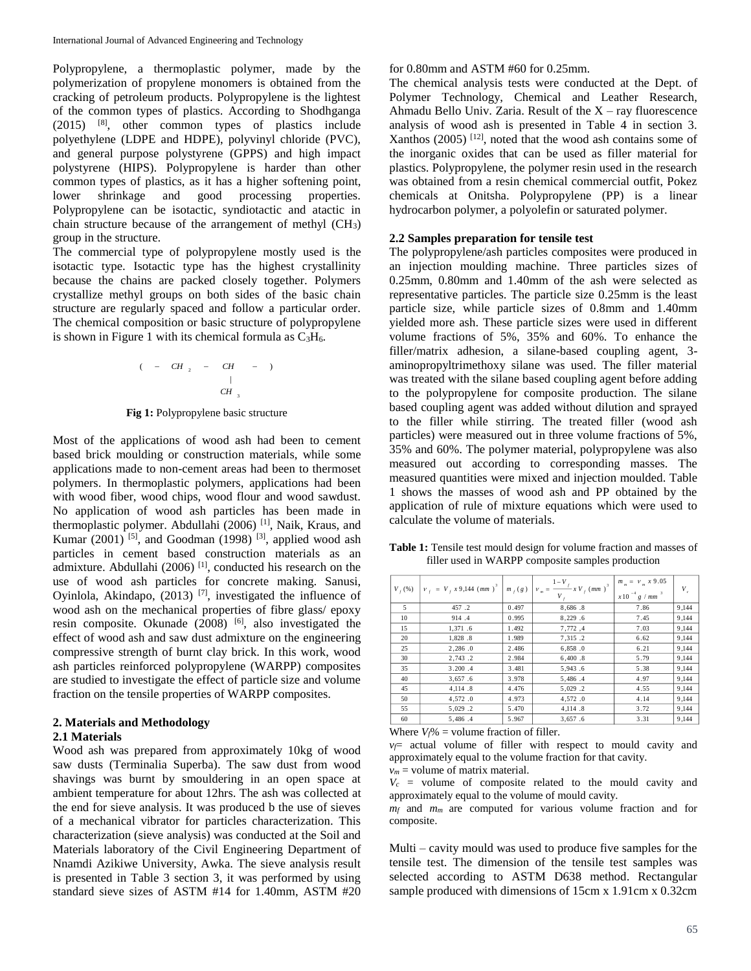Polypropylene, a thermoplastic polymer, made by the polymerization of propylene monomers is obtained from the cracking of petroleum products. Polypropylene is the lightest of the common types of plastics. According to Shodhganga (2015) [8] , other common types of plastics include polyethylene (LDPE and HDPE), polyvinyl chloride (PVC), and general purpose polystyrene (GPPS) and high impact polystyrene (HIPS). Polypropylene is harder than other common types of plastics, as it has a higher softening point, lower shrinkage and good processing properties. Polypropylene can be isotactic, syndiotactic and atactic in chain structure because of the arrangement of methyl  $(CH_3)$ group in the structure.

The commercial type of polypropylene mostly used is the isotactic type. Isotactic type has the highest crystallinity because the chains are packed closely together. Polymers crystallize methyl groups on both sides of the basic chain structure are regularly spaced and follow a particular order. The chemical composition or basic structure of polypropylene is shown in Figure 1 with its chemical formula as  $C_3H_6$ .

$$
(-CH_2 - CH - )
$$
  
\n $\qquad \qquad |$   
\n $CH_3$ 

**Fig 1:** Polypropylene basic structure

Most of the applications of wood ash had been to cement based brick moulding or construction materials, while some applications made to non-cement areas had been to thermoset polymers. In thermoplastic polymers, applications had been with wood fiber, wood chips, wood flour and wood sawdust. No application of wood ash particles has been made in thermoplastic polymer. Abdullahi (2006)<sup>[1]</sup>, Naik, Kraus, and Kumar  $(2001)$  <sup>[5]</sup>, and Goodman  $(1998)$  <sup>[3]</sup>, applied wood ash particles in cement based construction materials as an admixture. Abdullahi (2006)  $[1]$ , conducted his research on the use of wood ash particles for concrete making. Sanusi, Oyinlola, Akindapo,  $(2013)$ <sup>[7]</sup>, investigated the influence of wood ash on the mechanical properties of fibre glass/ epoxy resin composite. Okunade  $(2008)$  [6], also investigated the effect of wood ash and saw dust admixture on the engineering compressive strength of burnt clay brick. In this work, wood ash particles reinforced polypropylene (WARPP) composites are studied to investigate the effect of particle size and volume fraction on the tensile properties of WARPP composites.

### **2. Materials and Methodology**

### **2.1 Materials**

Wood ash was prepared from approximately 10kg of wood saw dusts (Terminalia Superba). The saw dust from wood shavings was burnt by smouldering in an open space at ambient temperature for about 12hrs. The ash was collected at the end for sieve analysis. It was produced b the use of sieves of a mechanical vibrator for particles characterization. This characterization (sieve analysis) was conducted at the Soil and Materials laboratory of the Civil Engineering Department of Nnamdi Azikiwe University, Awka. The sieve analysis result is presented in Table 3 section 3, it was performed by using standard sieve sizes of ASTM #14 for 1.40mm, ASTM #20

### for 0.80mm and ASTM #60 for 0.25mm.

The chemical analysis tests were conducted at the Dept. of Polymer Technology, Chemical and Leather Research, Ahmadu Bello Univ. Zaria. Result of the  $X - ray$  fluorescence analysis of wood ash is presented in Table 4 in section 3. Xanthos  $(2005)$ <sup>[12]</sup>, noted that the wood ash contains some of the inorganic oxides that can be used as filler material for plastics. Polypropylene, the polymer resin used in the research was obtained from a resin chemical commercial outfit, Pokez chemicals at Onitsha. Polypropylene (PP) is a linear hydrocarbon polymer, a polyolefin or saturated polymer.

#### **2.2 Samples preparation for tensile test**

The polypropylene/ash particles composites were produced in an injection moulding machine. Three particles sizes of 0.25mm, 0.80mm and 1.40mm of the ash were selected as representative particles. The particle size 0.25mm is the least particle size, while particle sizes of 0.8mm and 1.40mm yielded more ash. These particle sizes were used in different volume fractions of 5%, 35% and 60%. To enhance the filler/matrix adhesion, a silane-based coupling agent, 3 aminopropyltrimethoxy silane was used. The filler material was treated with the silane based coupling agent before adding to the polypropylene for composite production. The silane based coupling agent was added without dilution and sprayed to the filler while stirring. The treated filler (wood ash particles) were measured out in three volume fractions of 5%, 35% and 60%. The polymer material, polypropylene was also measured out according to corresponding masses. The measured quantities were mixed and injection moulded. Table 1 shows the masses of wood ash and PP obtained by the application of rule of mixture equations which were used to calculate the volume of materials.

**Table 1:** Tensile test mould design for volume fraction and masses of filler used in WARPP composite samples production

| $V_{f}(%)$ | $V_f = V_f x 9,144 (mm)^3  m_f(g) $ |       | $V_m = \frac{1-V_f}{1-V_f} x V_f (mm)^3$ | $m_m = v_m x 9.05$<br>$x 10^{-4} g / mm$ <sup>3</sup> | $V_{c}$ |
|------------|-------------------------------------|-------|------------------------------------------|-------------------------------------------------------|---------|
| 5          | 457.2                               | 0.497 | 8,686.8                                  | 7.86                                                  | 9,144   |
| 10         | 914.4                               | 0.995 | 8,229.6                                  | 7.45                                                  | 9,144   |
| 15         | 1,371.6                             | 1.492 | 7,772,4                                  | 7.03                                                  | 9,144   |
| 20         | 1,828.8                             | 1.989 | 7,315.2                                  | 6.62                                                  | 9,144   |
| 25         | 2,286.0                             | 2.486 | 6,858.0                                  | 6.21                                                  | 9,144   |
| 30         | 2,743.2                             | 2.984 | 6,400.8                                  | 5.79                                                  | 9,144   |
| 35         | 3.200.4                             | 3.481 | 5,943.6                                  | 5.38                                                  | 9.144   |
| 40         | 3,657.6                             | 3.978 | 5,486.4                                  | 4.97                                                  | 9,144   |
| 45         | 4.114.8                             | 4.476 | 5,029.2                                  | 4.55                                                  | 9.144   |
| 50         | 4,572.0                             | 4.973 | 4,572.0                                  | 4.14                                                  | 9,144   |
| 55         | 5,029.2                             | 5.470 | 4,114.8                                  | 3.72                                                  | 9,144   |
| 60         | 5,486.4                             | 5.967 | 3,657.6                                  | 3.31                                                  | 9,144   |

Where  $V_f$ % = volume fraction of filler.

*v<sup>m</sup>* = volume of matrix material.

Multi – cavity mould was used to produce five samples for the tensile test. The dimension of the tensile test samples was selected according to ASTM D638 method. Rectangular sample produced with dimensions of 15cm x 1.91cm x 0.32cm

 $v_f$ = actual volume of filler with respect to mould cavity and approximately equal to the volume fraction for that cavity.

 $V_c$  = volume of composite related to the mould cavity and approximately equal to the volume of mould cavity.

*m<sup>f</sup>* and *mm* are computed for various volume fraction and for composite.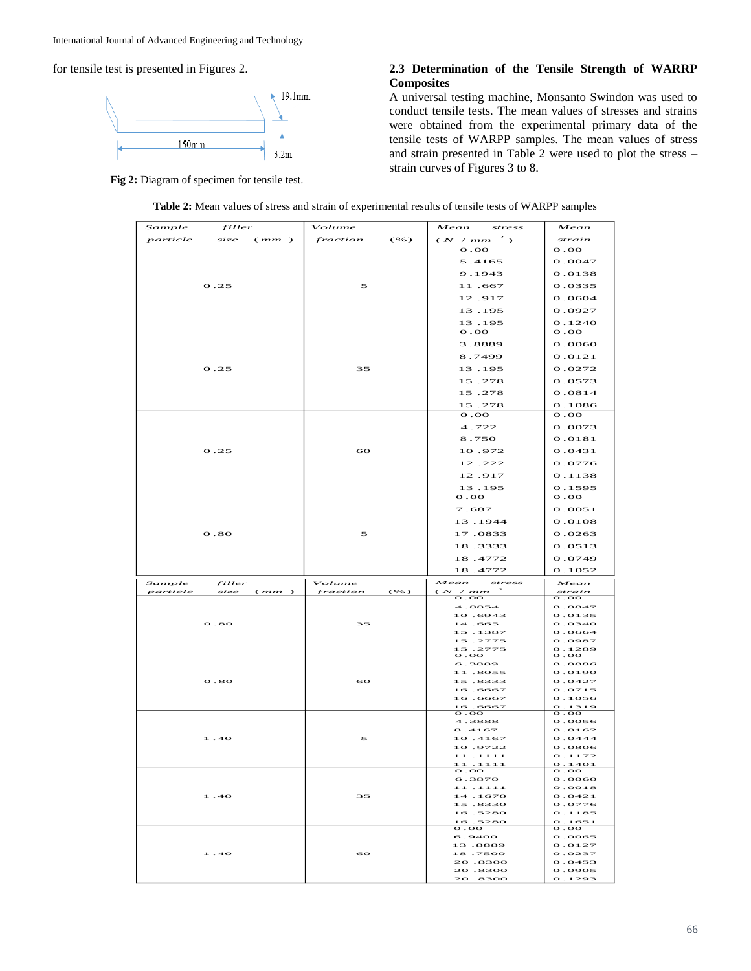for tensile test is presented in Figures 2.



**Fig 2:** Diagram of specimen for tensile test.

# **2.3 Determination of the Tensile Strength of WARRP Composites**

A universal testing machine, Monsanto Swindon was used to conduct tensile tests. The mean values of stresses and strains were obtained from the experimental primary data of the tensile tests of WARPP samples. The mean values of stress and strain presented in Table 2 were used to plot the stress – strain curves of Figures 3 to 8.

| Sample   | filler           | Volume           | Mean<br>stress                              | Mean                                    |
|----------|------------------|------------------|---------------------------------------------|-----------------------------------------|
| particle | size<br>(mm)     | (%)<br>fraction  | $(N \ / \ mm^{-2})$                         | strain                                  |
|          |                  |                  | $\mathbf{o}$ . OO                           | $\mathbf{O} \cdot \mathbf{O}$           |
|          |                  |                  | 5.4165                                      | 0.0047                                  |
|          |                  |                  | 9.1943                                      | 0.0138                                  |
|          | 0.25             | 5                | 11.667                                      | 0.0335                                  |
|          |                  |                  | 12.917                                      | 0.0604                                  |
|          |                  |                  | 13.195                                      | 0.0927                                  |
|          |                  |                  |                                             |                                         |
|          |                  |                  | 13.195<br>$\mathbf{o}$ . OO                 | 0.1240<br>$\mathbf{OO}$ . $\mathbf{OO}$ |
|          |                  |                  |                                             | 0.0060                                  |
|          |                  |                  | 3.8889                                      |                                         |
|          |                  |                  | 8.7499                                      | 0.0121                                  |
|          | 0.25             | 35               | 13.195                                      | 0.0272                                  |
|          |                  |                  | 15.278                                      | 0.0573                                  |
|          |                  |                  | 15.278                                      | 0.0814                                  |
|          |                  |                  | 15.278                                      | 0.1086                                  |
|          |                  |                  | $\mathbf{O}$ . O                            | $\mathbf{O}$ . OO                       |
|          |                  |                  | 4.722                                       | 0.0073                                  |
|          |                  |                  | 8.750                                       | 0.0181                                  |
|          | 0.25             | 60               | 10.972                                      | 0.0431                                  |
|          |                  |                  | 12.222                                      | 0.0776                                  |
|          |                  |                  | 12.917                                      | 0.1138                                  |
|          |                  |                  | 13.195                                      | 0.1595                                  |
|          |                  |                  | $\mathbf{O} \cdot \mathbf{O}$               | $\mathbf{O}$ . OO                       |
|          |                  |                  | 7.687                                       | 0.0051                                  |
|          |                  |                  | 13.1944                                     | 0.0108                                  |
|          |                  |                  |                                             |                                         |
|          | 0.80             | 5                | 17.0833                                     | 0.0263                                  |
|          |                  |                  | 18.3333                                     | 0.0513                                  |
|          |                  |                  |                                             |                                         |
|          |                  |                  | 18.4772                                     | 0.0749                                  |
|          |                  |                  | 18.4772                                     | 0.1052                                  |
| Sample   | filler           | Volume           | Mean<br>stress                              | Mean                                    |
| particle | size<br>(mm)     | fraction<br>(96) | $\rightarrow$<br>$\frac{(N \neq mm)}{0.00}$ | strain<br>$\mathbf{o}$ . OO             |
|          |                  |                  | 4.8054                                      | O.OO47                                  |
|          |                  |                  | 10.6943                                     | 0.0135                                  |
|          | o.so             | 35               | 14.665                                      | 0.0340                                  |
|          |                  |                  | 15.1387<br>15.2775                          | 0.0664<br>0.0987                        |
|          |                  |                  | 15.2775                                     | 0.1289                                  |
|          |                  |                  | $\mathbf{o}$ . OO<br>6.3889                 | $\mathbf{o}$ . OO<br>O.0086             |
|          |                  |                  | 11.8055                                     | 0.0190                                  |
|          | $\mathbf{o}$ .80 | 60               | 15.8333                                     | 0.0427                                  |
|          |                  |                  | 16.6667<br>16.6667                          | 0.0715<br>0.1056                        |
|          |                  |                  | 16.6667                                     | 0.1319                                  |
|          |                  |                  | $\overline{\mathbf{o}}$ . OO                | $\overline{\mathbf{o}}$ . O             |
|          |                  |                  | 4.3888<br>8.4167                            | 0.0056<br>0.0162                        |
|          | 1.40             | 5                | 10.4167                                     | 0.0444                                  |
|          |                  |                  | 10.9722                                     | O.08O6                                  |
|          |                  |                  | 11.1111<br>11 . 1111                        | 0.1172<br>0.1401                        |
|          |                  |                  | റ ററ                                        | $\mathbf{o}$ . OO                       |
|          |                  |                  | 6.3870<br>11.1111                           | 0.0060<br>O.OO18                        |
|          | 1.40             | 35               | 14.1670                                     | 0.0421                                  |
|          |                  |                  | 15.8330                                     | 0.0776                                  |
|          |                  |                  | 16.5280                                     | 0.1185                                  |
|          |                  |                  | 16.5280<br>$\mathbf{o}$ . OO                | 0.1651<br>$\mathbf{o}$ . OO             |
|          |                  |                  | 6.9400                                      | O.0065                                  |
|          | 1.40             | 60               | 13.8889<br>18.7500                          | 0.0127<br>0.0237                        |
|          |                  |                  | 20.8300                                     | 0.0453                                  |
|          |                  |                  | 20.8300<br>20.8300                          | 0.0905<br>0.1293                        |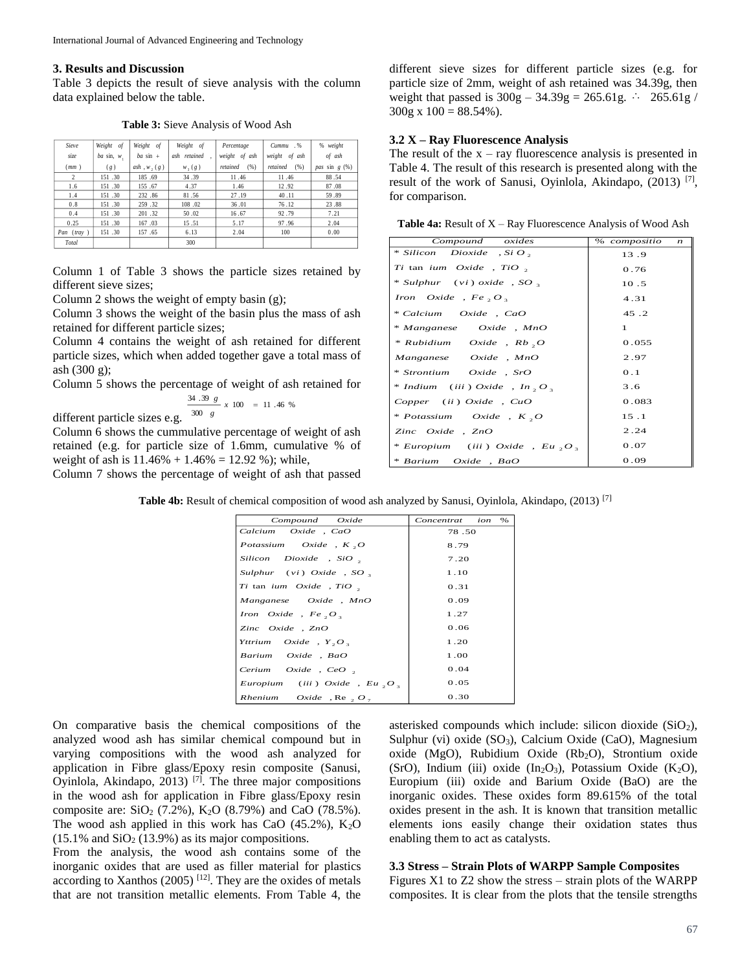# **3. Results and Discussion**

Table 3 depicts the result of sieve analysis with the column data explained below the table.

**Table 3:** Sieve Analysis of Wood Ash

| Sieve          | Weight of      | Weight of        | Weight of    | Percentage       | Cummu .%         | % weight        |
|----------------|----------------|------------------|--------------|------------------|------------------|-----------------|
| size           | $ba \sin, w$ , | $ba \sin +$      | ash retained | weight of ash    | weight of ash    | of ash          |
| (mm)           | (g)            | ash, $w$ , $(g)$ | $W_1(g)$     | retained<br>(96) | retained<br>(% ) | pas sin $g(\%)$ |
| $\overline{2}$ | 151.30         | 185.69           | 34.39        | 11.46            | 11.46            | 88.54           |
| 1.6            | 151.30         | 155.67           | 4.37         | 1.46             | 12.92            | 87.08           |
| 1.4            | 151.30         | 232.86           | 81.56        | 27.19            | 40.11            | 59.89           |
| 0.8            | 151.30         | 259 .32          | 108.02       | 36.01            | 76.12            | 23.88           |
| 0.4            | 151.30         | 201.32           | 50.02        | 16.67            | 92.79            | 7.21            |
| 0.25           | 151.30         | 167.03           | 15.51        | 5.17             | 97.96            | 2.04            |
| Pan (tray)     | 151.30         | 157.65           | 6.13         | 2.04             | 100              | 0.00            |
| Total          |                |                  | 300          |                  |                  |                 |

Column 1 of Table 3 shows the particle sizes retained by different sieve sizes;

Column 2 shows the weight of empty basin (g);

Column 3 shows the weight of the basin plus the mass of ash retained for different particle sizes;

Column 4 contains the weight of ash retained for different particle sizes, which when added together gave a total mass of ash (300 g);

Column 5 shows the percentage of weight of ash retained for  $\frac{34 \cdot 39 \cdot g}{300 \cdot g}$  x 100 = *g*

different particle sizes e.g.  $\frac{300}{300}$  s  $\frac{100}{100}$  = 11.46 %

Column 6 shows the cummulative percentage of weight of ash retained (e.g. for particle size of 1.6mm, cumulative % of weight of ash is  $11.46\% + 1.46\% = 12.92\%$ ; while,

Column 7 shows the percentage of weight of ash that passed

different sieve sizes for different particle sizes (e.g. for particle size of 2mm, weight of ash retained was 34.39g, then weight that passed is  $300g - 34.39g = 265.61g$ .  $\therefore$  265.61g /  $300g \times 100 = 88.54\%$ ).

## **3.2 X – Ray Fluorescence Analysis**

The result of the  $x - ray$  fluorescence analysis is presented in Table 4. The result of this research is presented along with the result of the work of Sanusi, Oyinlola, Akindapo,  $(2013)$ <sup>[7]</sup>, for comparison.

**Table 4a:** Result of X – Ray Fluorescence Analysis of Wood Ash

| Compound oxides                            | % compositio<br>$\boldsymbol{n}$ |
|--------------------------------------------|----------------------------------|
| $*$ Silicon Dioxide, Si O,                 | 13.9                             |
| Ti tan ium Oxide, TiO,                     | 0.76                             |
| $*$ Sulphur (vi) oxide, SO,                | 10.5                             |
| Iron Oxide, $Fe_2O_3$                      | 4.31                             |
| * Calcium Oxide, CaO                       | 45.2                             |
| * Manganese Oxide, MnO                     | $\mathbf{1}$                     |
| $*$ Rubidium Oxide, Rb, O                  | 0.055                            |
| Manganese Oxide, MnO                       | 2.97                             |
| * Strontium Oxide, SrO                     | 0.1                              |
| * Indium (iii) Oxide, In, O,               | 3.6                              |
| $Copper$ (ii) $Oxide$ , $CuO$              | 0.083                            |
| * Potassium Oxide, $K$ , $O$               | 15.1                             |
| Zinc Oxide, ZnO                            | 2.24                             |
| * Europium (iii) Oxide, Eu, O <sub>3</sub> | 0.07                             |
| * Barium Oxide, BaO                        | 0.09                             |

**Table 4b:** Result of chemical composition of wood ash analyzed by Sanusi, Oyinlola, Akindapo, (2013) <sup>[7]</sup>

| Compound Oxide                   | ion<br>$\%$<br>Concentrat |
|----------------------------------|---------------------------|
| Calcium Oxide , CaO              | 78.50                     |
| Potassium Oxide, $K$ , $O$       | 8.79                      |
| $Silicon$ Dioxide , SiO $\alpha$ | 7.20                      |
| Sulphur $(vi)$ Oxide, SO,        | 1.10                      |
| Ti tan ium Oxide, TiO,           | 0.31                      |
| Manganese Oxide, MnO             | 0.09                      |
| Iron Oxide, $Fe_2O_3$            | 1.27                      |
| Zinc $Oxide$ , $ZnO$             | 0.06                      |
| Yttrium Oxide, $Y, O$ ,          | 1.20                      |
| Barium Oxide, BaO                | 1.00                      |
| Cerium Oxide, CeO,               | 0.04                      |
| Europium (iii) Oxide, Eu, O,     | 0.05                      |
| Rhenium Oxide, Re, $O_7$         | 0.30                      |

On comparative basis the chemical compositions of the analyzed wood ash has similar chemical compound but in varying compositions with the wood ash analyzed for application in Fibre glass/Epoxy resin composite (Sanusi, Oyinlola, Akindapo, 2013)<sup>[7]</sup>. The three major compositions in the wood ash for application in Fibre glass/Epoxy resin composite are:  $SiO_2$  (7.2%),  $K_2O$  (8.79%) and CaO (78.5%). The wood ash applied in this work has CaO  $(45.2\%)$ , K<sub>2</sub>O  $(15.1\%$  and  $SiO<sub>2</sub>$   $(13.9\%)$  as its major compositions.

From the analysis, the wood ash contains some of the inorganic oxides that are used as filler material for plastics according to Xanthos  $(2005)$ <sup>[12]</sup>. They are the oxides of metals that are not transition metallic elements. From Table 4, the

asterisked compounds which include: silicon dioxide  $(SiO<sub>2</sub>)$ , Sulphur (vi) oxide  $(SO_3)$ , Calcium Oxide (CaO), Magnesium oxide (MgO), Rubidium Oxide (Rb<sub>2</sub>O), Strontium oxide (SrO), Indium (iii) oxide  $(In_2O_3)$ , Potassium Oxide  $(K_2O)$ , Europium (iii) oxide and Barium Oxide (BaO) are the inorganic oxides. These oxides form 89.615% of the total oxides present in the ash. It is known that transition metallic elements ions easily change their oxidation states thus enabling them to act as catalysts.

### **3.3 Stress – Strain Plots of WARPP Sample Composites**

Figures X1 to Z2 show the stress – strain plots of the WARPP composites. It is clear from the plots that the tensile strengths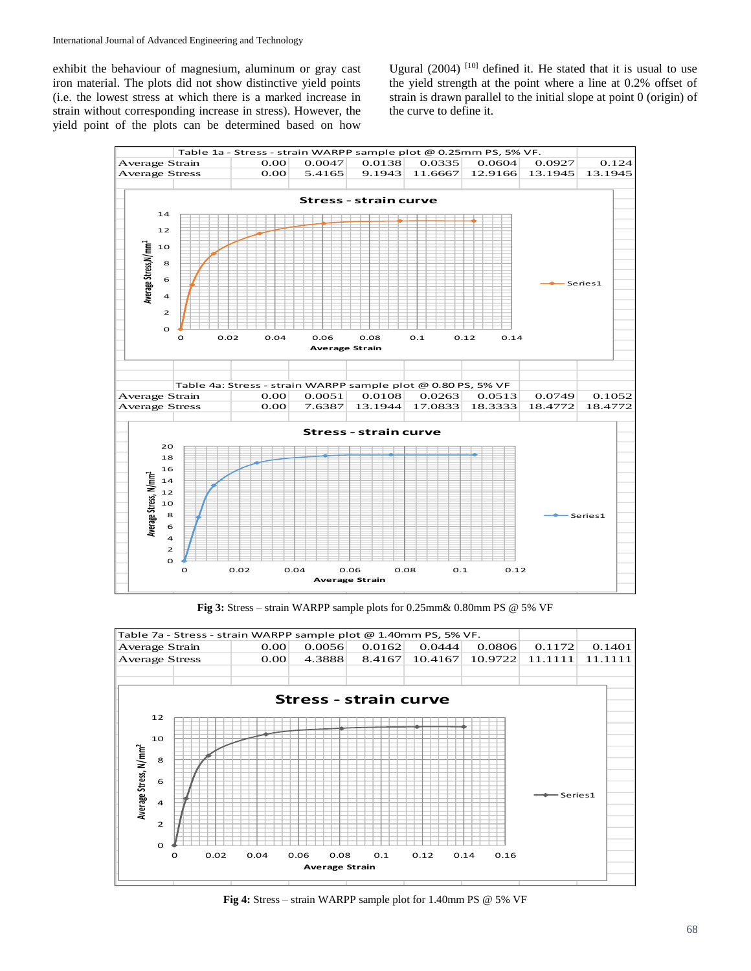exhibit the behaviour of magnesium, aluminum or gray cast iron material. The plots did not show distinctive yield points (i.e. the lowest stress at which there is a marked increase in strain without corresponding increase in stress). However, the yield point of the plots can be determined based on how Ugural  $(2004)$ <sup>[10]</sup> defined it. He stated that it is usual to use the yield strength at the point where a line at 0.2% offset of strain is drawn parallel to the initial slope at point 0 (origin) of the curve to define it.



**Fig 3:** Stress – strain WARPP sample plots for 0.25mm& 0.80mm PS @ 5% VF



**Fig 4:** Stress – strain WARPP sample plot for 1.40mm PS @ 5% VF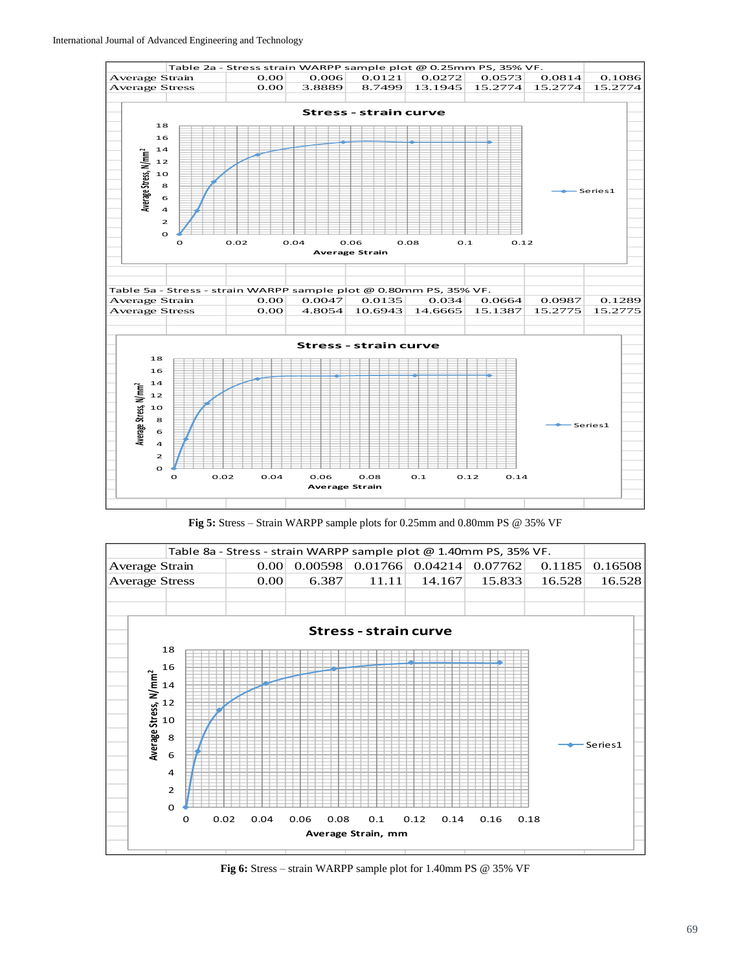

**Fig 5:** Stress – Strain WARPP sample plots for 0.25mm and 0.80mm PS @ 35% VF



**Fig 6:** Stress – strain WARPP sample plot for 1.40mm PS @ 35% VF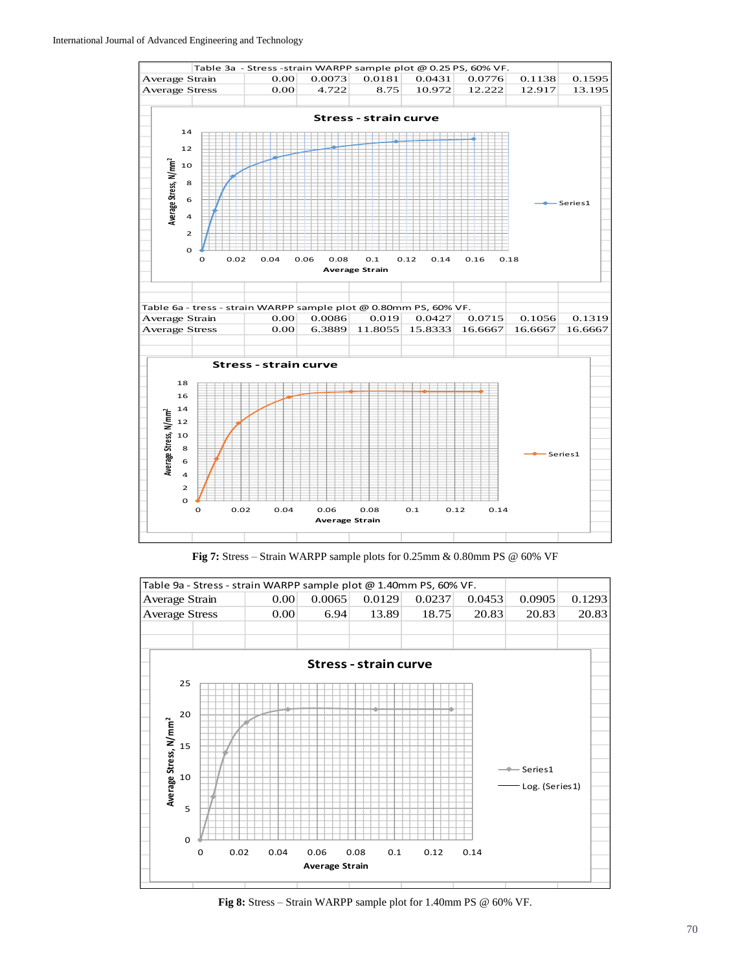

**Fig 7:** Stress – Strain WARPP sample plots for 0.25mm & 0.80mm PS @ 60% VF



**Fig 8:** Stress – Strain WARPP sample plot for 1.40mm PS @ 60% VF.